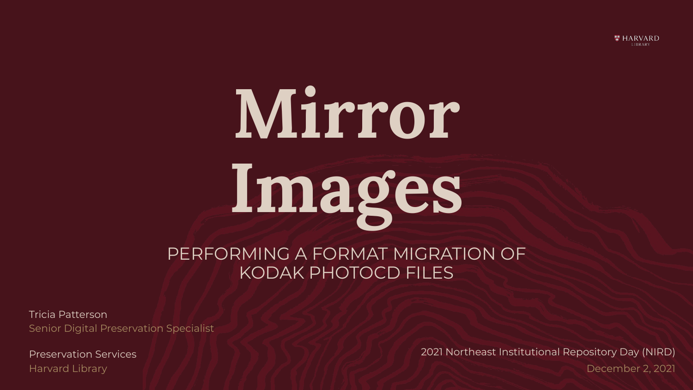

# **Mirror Images**

#### PERFORMING A FORMAT MIGRATION OF KODAK PHOTOCD FILES

Tricia Patterson Senior Digital Preservation Specialist

Harvard Library

Preservation Services 2021 Northeast Institutional Repository Day (NIRD) December 2, 2021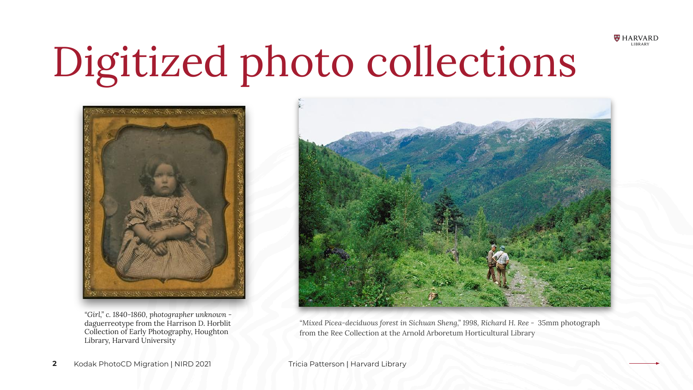

### Digitized photo collections



*"Girl," c. 1840-1860, photographer unknown*  daguerreotype from the Harrison D. Horblit Collection of Early Photography, Houghton Library, Harvard University



*"Mixed Picea-deciduous forest in Sichuan Sheng," 1998, Richard H. Ree -* 35mm photograph from the Ree Collection at the Arnold Arboretum Horticultural Library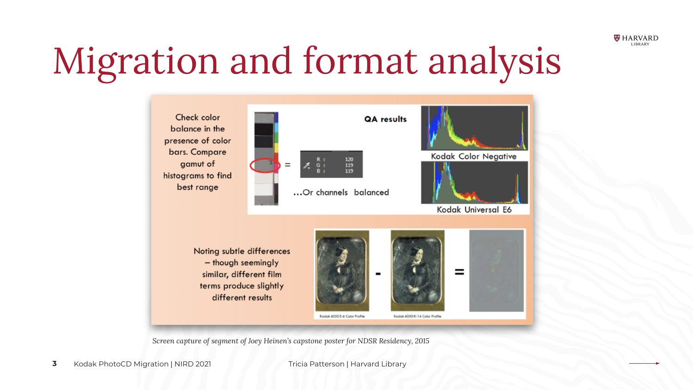

### Migration and format analysis



*Screen capture of segment of Joey Heinen's capstone poster for NDSR Residency, 2015*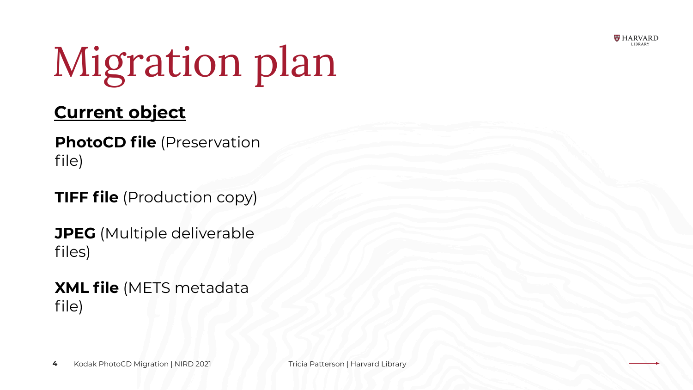

## Migration plan

#### **Current object**

**PhotoCD file** (Preservation file)

**TIFF file** (Production copy)

**JPEG** (Multiple deliverable files)

**XML file** (METS metadata file)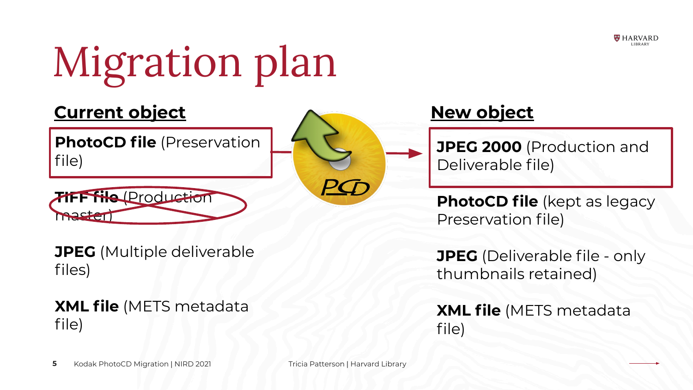

## Migration plan

#### **Current object**

**PhotoCD file** (Preservation file)



**JPEG** (Multiple deliverable files)

#### **XML file** (METS metadata file)

### **New object**

**JPEG 2000** (Production and Deliverable file)

**PhotoCD file** (kept as legacy Preservation file)

**JPEG** (Deliverable file - only thumbnails retained)

**XML file** (METS metadata file)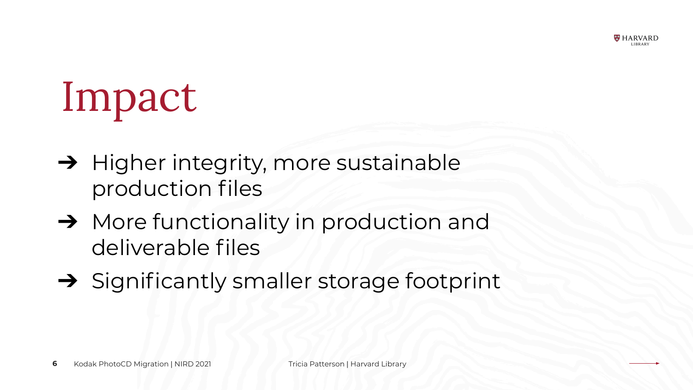

### Impact

- ➔ Higher integrity, more sustainable production files
- ➔ More functionality in production and deliverable files
- ➔ Significantly smaller storage footprint